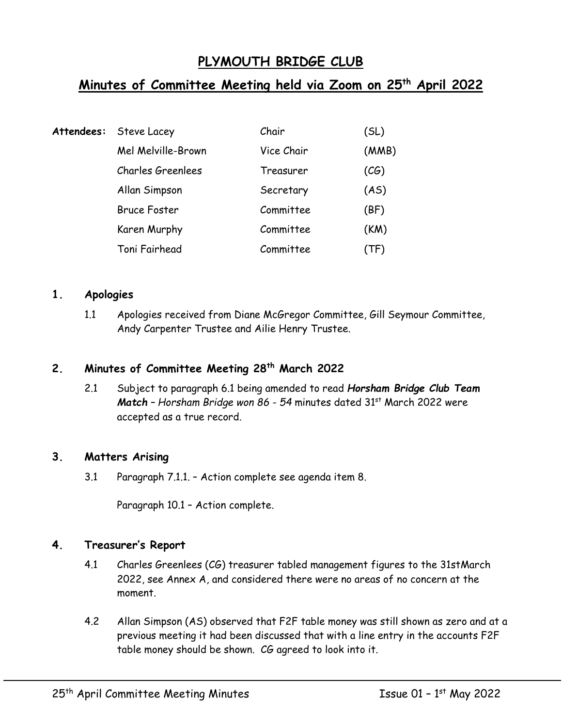# **PLYMOUTH BRIDGE CLUB**

## **Minutes of Committee Meeting held via Zoom on 25th April 2022**

| Attendees: | Steve Lacey         | Chair      | (SL)  |
|------------|---------------------|------------|-------|
|            | Mel Melville-Brown  | Vice Chair | (MMB) |
|            | Charles Greenlees   | Treasurer  | (CG)  |
|            | Allan Simpson       | Secretary  | (AS)  |
|            | <b>Bruce Foster</b> | Committee  | (BF)  |
|            | Karen Murphy        | Committee  | (KM)  |
|            | Toni Fairhead       | Committee  | (TF)  |

#### **1. Apologies**

1.1 Apologies received from Diane McGregor Committee, Gill Seymour Committee, Andy Carpenter Trustee and Ailie Henry Trustee.

## **2. Minutes of Committee Meeting 28th March 2022**

2.1 Subject to paragraph 6.1 being amended to read *Horsham Bridge Club Team Match – Horsham Bridge won 86 - 54* minutes dated 31st March 2022 were accepted as a true record.

#### **3. Matters Arising**

3.1 Paragraph 7.1.1. – Action complete see agenda item 8.

Paragraph 10.1 – Action complete.

#### **4. Treasurer's Report**

- 4.1 Charles Greenlees (CG) treasurer tabled management figures to the 31stMarch 2022, see Annex A, and considered there were no areas of no concern at the moment.
- 4.2 Allan Simpson (AS) observed that F2F table money was still shown as zero and at a previous meeting it had been discussed that with a line entry in the accounts F2F table money should be shown. CG agreed to look into it.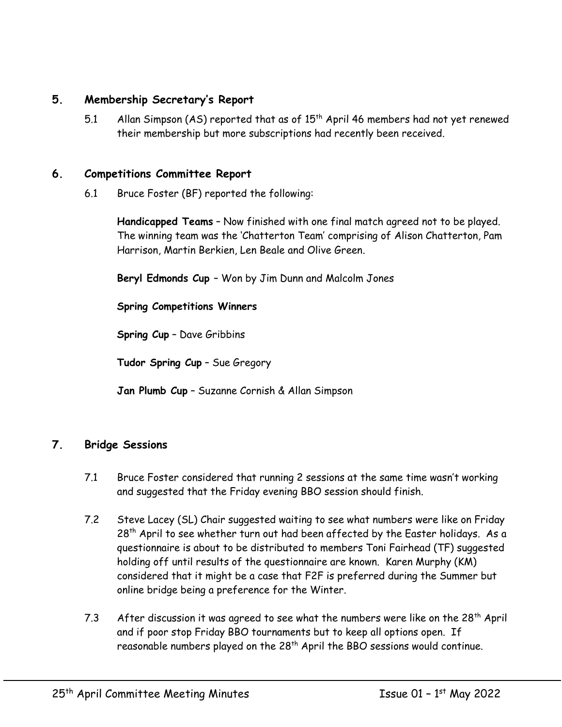## **5. Membership Secretary's Report**

5.1 Allan Simpson (AS) reported that as of 15<sup>th</sup> April 46 members had not yet renewed their membership but more subscriptions had recently been received.

#### **6. Competitions Committee Report**

6.1 Bruce Foster (BF) reported the following:

**Handicapped Teams** – Now finished with one final match agreed not to be played. The winning team was the 'Chatterton Team' comprising of Alison Chatterton, Pam Harrison, Martin Berkien, Len Beale and Olive Green.

**Beryl Edmonds Cup** – Won by Jim Dunn and Malcolm Jones

**Spring Competitions Winners**

**Spring Cup** – Dave Gribbins

**Tudor Spring Cup** – Sue Gregory

**Jan Plumb Cup** – Suzanne Cornish & Allan Simpson

## **7. Bridge Sessions**

- 7.1 Bruce Foster considered that running 2 sessions at the same time wasn't working and suggested that the Friday evening BBO session should finish.
- 7.2 Steve Lacey (SL) Chair suggested waiting to see what numbers were like on Friday  $28<sup>th</sup>$  April to see whether turn out had been affected by the Easter holidays. As a questionnaire is about to be distributed to members Toni Fairhead (TF) suggested holding off until results of the questionnaire are known. Karen Murphy (KM) considered that it might be a case that F2F is preferred during the Summer but online bridge being a preference for the Winter.
- 7.3 After discussion it was agreed to see what the numbers were like on the  $28<sup>th</sup>$  April and if poor stop Friday BBO tournaments but to keep all options open. If reasonable numbers played on the 28th April the BBO sessions would continue.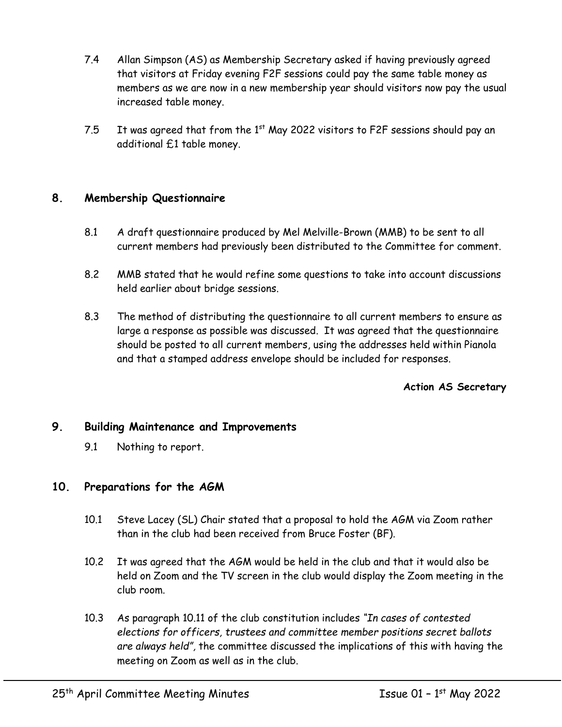- 7.4 Allan Simpson (AS) as Membership Secretary asked if having previously agreed that visitors at Friday evening F2F sessions could pay the same table money as members as we are now in a new membership year should visitors now pay the usual increased table money.
- 7.5 It was agreed that from the  $1<sup>st</sup>$  May 2022 visitors to F2F sessions should pay an additional £1 table money.

## **8. Membership Questionnaire**

- 8.1 A draft questionnaire produced by Mel Melville-Brown (MMB) to be sent to all current members had previously been distributed to the Committee for comment.
- 8.2 MMB stated that he would refine some questions to take into account discussions held earlier about bridge sessions.
- 8.3 The method of distributing the questionnaire to all current members to ensure as large a response as possible was discussed. It was agreed that the questionnaire should be posted to all current members, using the addresses held within Pianola and that a stamped address envelope should be included for responses.

#### **Action AS Secretary**

#### **9. Building Maintenance and Improvements**

9.1 Nothing to report.

#### **10. Preparations for the AGM**

- 10.1 Steve Lacey (SL) Chair stated that a proposal to hold the AGM via Zoom rather than in the club had been received from Bruce Foster (BF).
- 10.2 It was agreed that the AGM would be held in the club and that it would also be held on Zoom and the TV screen in the club would display the Zoom meeting in the club room.
- 10.3 As paragraph 10.11 of the club constitution includes *"In cases of contested elections for officers, trustees and committee member positions secret ballots are always held",* the committee discussed the implications of this with having the meeting on Zoom as well as in the club.